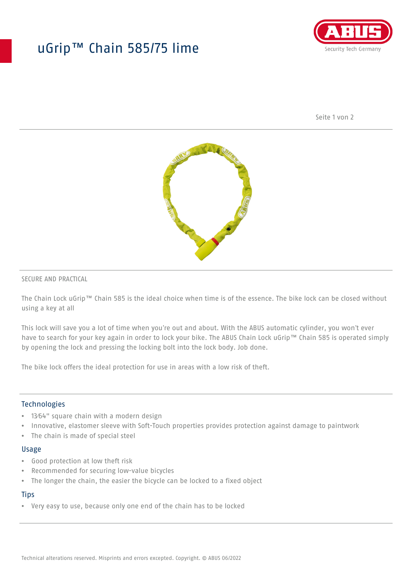## uGrip™ Chain 585/75 lime



Seite 1 von 2



#### SECURE AND PRACTICAL

The Chain Lock uGrip™ Chain 585 is the ideal choice when time is of the essence. The bike lock can be closed without using a key at all

This lock will save you a lot of time when you're out and about. With the ABUS automatic cylinder, you won't ever have to search for your key again in order to lock your bike. The ABUS Chain Lock uGrip™ Chain 585 is operated simply by opening the lock and pressing the locking bolt into the lock body. Job done.

The bike lock offers the ideal protection for use in areas with a low risk of theft.

#### **Technologies**

- 13⁄64" square chain with a modern design
- Innovative, elastomer sleeve with Soft-Touch properties provides protection against damage to paintwork
- The chain is made of special steel

#### Usage

- Good protection at low theft risk
- Recommended for securing low-value bicycles
- The longer the chain, the easier the bicycle can be locked to a fixed object

#### **Tips**

• Very easy to use, because only one end of the chain has to be locked